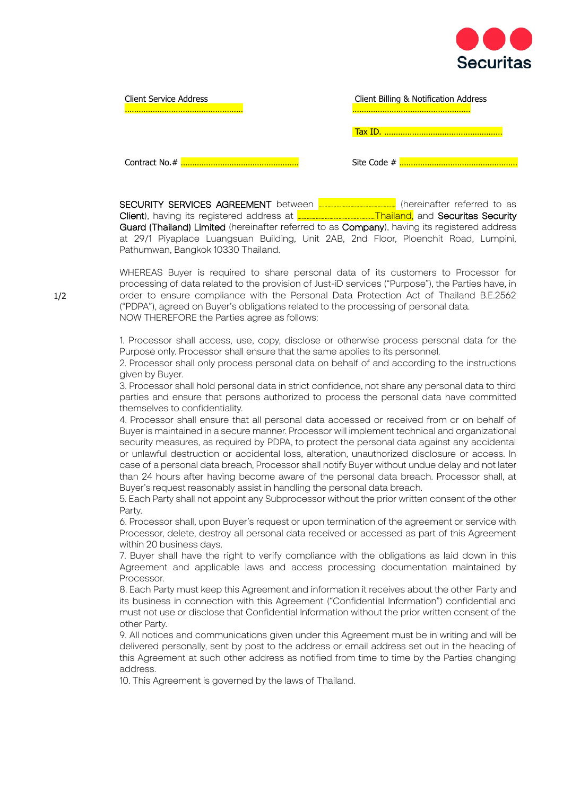

| <b>Client Service Address</b> | Client Billing & Notification Address |
|-------------------------------|---------------------------------------|
|                               |                                       |
|                               | Site Code #                           |

SECURITY SERVICES AGREEMENT between **………………………………** (hereinafter referred to as Client), having its registered address at **……………………………………………………**Thailand, and Securitas Security Guard (Thailand) Limited (hereinafter referred to as Company), having its registered address at 29/1 Piyaplace Luangsuan Building, Unit 2AB, 2nd Floor, Ploenchit Road, Lumpini, Pathumwan, Bangkok 10330 Thailand.

WHEREAS Buyer is required to share personal data of its customers to Processor for processing of data related to the provision of Just-iD services ("Purpose"), the Parties have, in order to ensure compliance with the Personal Data Protection Act of Thailand B.E.2562 ("PDPA"), agreed on Buyer's obligations related to the processing of personal data. NOW THEREFORE the Parties agree as follows:

1. Processor shall access, use, copy, disclose or otherwise process personal data for the Purpose only. Processor shall ensure that the same applies to its personnel.

2. Processor shall only process personal data on behalf of and according to the instructions given by Buyer.

3. Processor shall hold personal data in strict confidence, not share any personal data to third parties and ensure that persons authorized to process the personal data have committed themselves to confidentiality.

4. Processor shall ensure that all personal data accessed or received from or on behalf of Buyer is maintained in a secure manner. Processor will implement technical and organizational security measures, as required by PDPA, to protect the personal data against any accidental or unlawful destruction or accidental loss, alteration, unauthorized disclosure or access. In case of a personal data breach, Processor shall notify Buyer without undue delay and not later than 24 hours after having become aware of the personal data breach. Processor shall, at Buyer's request reasonably assist in handling the personal data breach.

5. Each Party shall not appoint any Subprocessor without the prior written consent of the other Party.

6. Processor shall, upon Buyer's request or upon termination of the agreement or service with Processor, delete, destroy all personal data received or accessed as part of this Agreement within 20 business days.

7. Buyer shall have the right to verify compliance with the obligations as laid down in this Agreement and applicable laws and access processing documentation maintained by Processor.

8. Each Party must keep this Agreement and information it receives about the other Party and its business in connection with this Agreement ("Confidential Information") confidential and must not use or disclose that Confidential Information without the prior written consent of the other Party.

9. All notices and communications given under this Agreement must be in writing and will be delivered personally, sent by post to the address or email address set out in the heading of this Agreement at such other address as notified from time to time by the Parties changing address.

10. This Agreement is governed by the laws of Thailand.

1/2